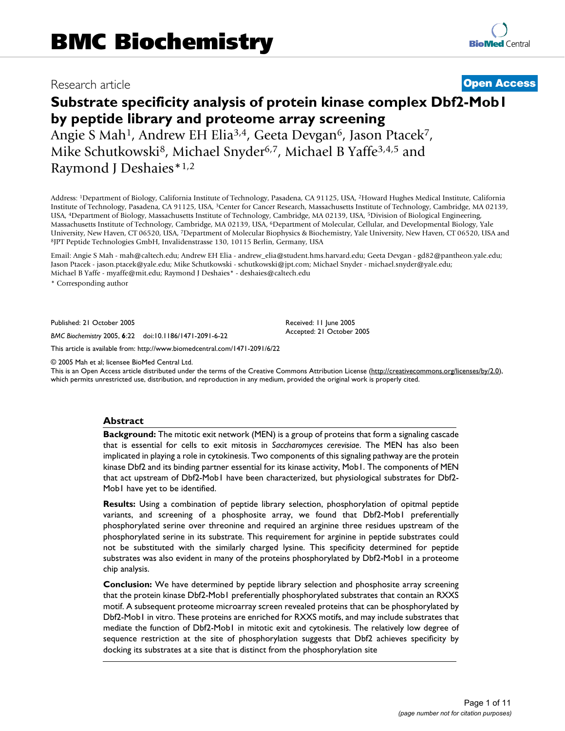# Research article **[Open Access](http://www.biomedcentral.com/info/about/charter/)**

# **Substrate specificity analysis of protein kinase complex Dbf2-Mob1 by peptide library and proteome array screening** Angie S Mah<sup>1</sup>, Andrew EH Elia<sup>3,4</sup>, Geeta Devgan<sup>6</sup>, Jason Ptacek<sup>7</sup>,

Mike Schutkowski<sup>8</sup>, Michael Snyder<sup>6,7</sup>, Michael B Yaffe<sup>3,4,5</sup> and Raymond J Deshaies\*1,2

Address: 1Department of Biology, California Institute of Technology, Pasadena, CA 91125, USA, 2Howard Hughes Medical Institute, California Institute of Technology, Pasadena, CA 91125, USA, 3Center for Cancer Research, Massachusetts Institute of Technology, Cambridge, MA 02139, USA, 4Department of Biology, Massachusetts Institute of Technology, Cambridge, MA 02139, USA, 5Division of Biological Engineering, Massachusetts Institute of Technology, Cambridge, MA 02139, USA, 6Department of Molecular, Cellular, and Developmental Biology, Yale University, New Haven, CT 06520, USA, 7Department of Molecular Biophysics & Biochemistry, Yale University, New Haven, CT 06520, USA and 8JPT Peptide Technologies GmbH, Invalidenstrasse 130, 10115 Berlin, Germany, USA

Email: Angie S Mah - mah@caltech.edu; Andrew EH Elia - andrew\_elia@student.hms.harvard.edu; Geeta Devgan - gd82@pantheon.yale.edu; Jason Ptacek - jason.ptacek@yale.edu; Mike Schutkowski - schutkowski@jpt.com; Michael Snyder - michael.snyder@yale.edu; Michael B Yaffe - myaffe@mit.edu; Raymond J Deshaies\* - deshaies@caltech.edu

\* Corresponding author

Published: 21 October 2005

*BMC Biochemistry* 2005, **6**:22 doi:10.1186/1471-2091-6-22

[This article is available from: http://www.biomedcentral.com/1471-2091/6/22](http://www.biomedcentral.com/1471-2091/6/22)

© 2005 Mah et al; licensee BioMed Central Ltd.

This is an Open Access article distributed under the terms of the Creative Commons Attribution License [\(http://creativecommons.org/licenses/by/2.0\)](http://creativecommons.org/licenses/by/2.0), which permits unrestricted use, distribution, and reproduction in any medium, provided the original work is properly cited.

Received: 11 June 2005 Accepted: 21 October 2005

#### **Abstract**

**Background:** The mitotic exit network (MEN) is a group of proteins that form a signaling cascade that is essential for cells to exit mitosis in *Saccharomyces cerevisiae*. The MEN has also been implicated in playing a role in cytokinesis. Two components of this signaling pathway are the protein kinase Dbf2 and its binding partner essential for its kinase activity, Mob1. The components of MEN that act upstream of Dbf2-Mob1 have been characterized, but physiological substrates for Dbf2- Mob1 have yet to be identified.

**Results:** Using a combination of peptide library selection, phosphorylation of opitmal peptide variants, and screening of a phosphosite array, we found that Dbf2-Mob1 preferentially phosphorylated serine over threonine and required an arginine three residues upstream of the phosphorylated serine in its substrate. This requirement for arginine in peptide substrates could not be substituted with the similarly charged lysine. This specificity determined for peptide substrates was also evident in many of the proteins phosphorylated by Dbf2-Mob1 in a proteome chip analysis.

**Conclusion:** We have determined by peptide library selection and phosphosite array screening that the protein kinase Dbf2-Mob1 preferentially phosphorylated substrates that contain an RXXS motif. A subsequent proteome microarray screen revealed proteins that can be phosphorylated by Dbf2-Mob1 in vitro. These proteins are enriched for RXXS motifs, and may include substrates that mediate the function of Dbf2-Mob1 in mitotic exit and cytokinesis. The relatively low degree of sequence restriction at the site of phosphorylation suggests that Dbf2 achieves specificity by docking its substrates at a site that is distinct from the phosphorylation site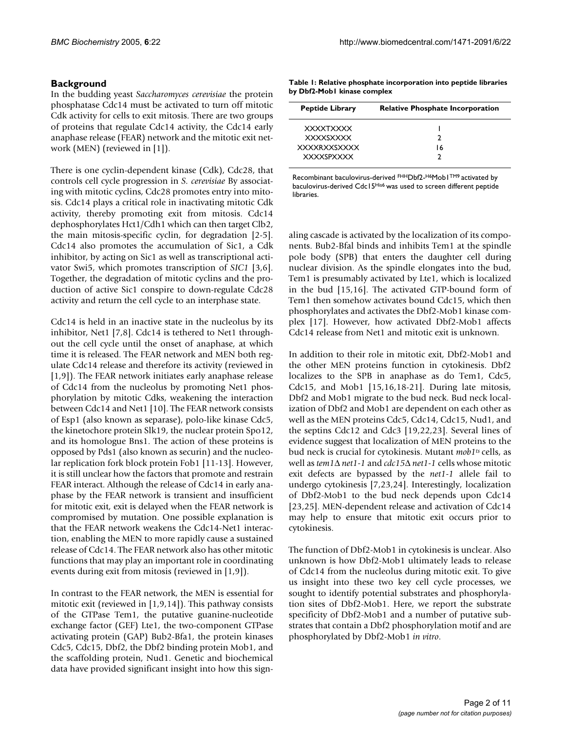# **Background**

In the budding yeast *Saccharomyces cerevisiae* the protein phosphatase Cdc14 must be activated to turn off mitotic Cdk activity for cells to exit mitosis. There are two groups of proteins that regulate Cdc14 activity, the Cdc14 early anaphase release (FEAR) network and the mitotic exit network (MEN) (reviewed in [1]).

There is one cyclin-dependent kinase (Cdk), Cdc28, that controls cell cycle progression in *S. cerevisiae* By associating with mitotic cyclins, Cdc28 promotes entry into mitosis. Cdc14 plays a critical role in inactivating mitotic Cdk activity, thereby promoting exit from mitosis. Cdc14 dephosphorylates Hct1/Cdh1 which can then target Clb2, the main mitosis-specific cyclin, for degradation [2-5]. Cdc14 also promotes the accumulation of Sic1, a Cdk inhibitor, by acting on Sic1 as well as transcriptional activator Swi5, which promotes transcription of *SIC1* [3,6]. Together, the degradation of mitotic cyclins and the production of active Sic1 conspire to down-regulate Cdc28 activity and return the cell cycle to an interphase state.

Cdc14 is held in an inactive state in the nucleolus by its inhibitor, Net1 [7,8]. Cdc14 is tethered to Net1 throughout the cell cycle until the onset of anaphase, at which time it is released. The FEAR network and MEN both regulate Cdc14 release and therefore its activity (reviewed in [1,9]). The FEAR network initiates early anaphase release of Cdc14 from the nucleolus by promoting Net1 phosphorylation by mitotic Cdks, weakening the interaction between Cdc14 and Net1 [10]. The FEAR network consists of Esp1 (also known as separase), polo-like kinase Cdc5, the kinetochore protein Slk19, the nuclear protein Spo12, and its homologue Bns1. The action of these proteins is opposed by Pds1 (also known as securin) and the nucleolar replication fork block protein Fob1 [11-13]. However, it is still unclear how the factors that promote and restrain FEAR interact. Although the release of Cdc14 in early anaphase by the FEAR network is transient and insufficient for mitotic exit, exit is delayed when the FEAR network is compromised by mutation. One possible explanation is that the FEAR network weakens the Cdc14-Net1 interaction, enabling the MEN to more rapidly cause a sustained release of Cdc14. The FEAR network also has other mitotic functions that may play an important role in coordinating events during exit from mitosis (reviewed in [1,9]).

In contrast to the FEAR network, the MEN is essential for mitotic exit (reviewed in [1,9,14]). This pathway consists of the GTPase Tem1, the putative guanine-nucleotide exchange factor (GEF) Lte1, the two-component GTPase activating protein (GAP) Bub2-Bfa1, the protein kinases Cdc5, Cdc15, Dbf2, the Dbf2 binding protein Mob1, and the scaffolding protein, Nud1. Genetic and biochemical data have provided significant insight into how this sign-

**Table 1: Relative phosphate incorporation into peptide libraries by Dbf2-Mob1 kinase complex**

| <b>Peptide Library</b> | <b>Relative Phosphate Incorporation</b> |  |
|------------------------|-----------------------------------------|--|
| <b>XXXXTXXXX</b>       |                                         |  |
| <b>XXXXSXXXX</b>       | າ                                       |  |
| <b>XXXXRXXSXXXX</b>    | 16                                      |  |
| <b>XXXXSPXXXX</b>      |                                         |  |

Recombinant baculovirus-derived FHHDbf2-H6Mob1TM9 activated by baculovirus-derived Cdc15His6 was used to screen different peptide libraries.

aling cascade is activated by the localization of its components. Bub2-Bfal binds and inhibits Tem1 at the spindle pole body (SPB) that enters the daughter cell during nuclear division. As the spindle elongates into the bud, Tem1 is presumably activated by Lte1, which is localized in the bud [15,16]. The activated GTP-bound form of Tem1 then somehow activates bound Cdc15, which then phosphorylates and activates the Dbf2-Mob1 kinase complex [17]. However, how activated Dbf2-Mob1 affects Cdc14 release from Net1 and mitotic exit is unknown.

In addition to their role in mitotic exit, Dbf2-Mob1 and the other MEN proteins function in cytokinesis. Dbf2 localizes to the SPB in anaphase as do Tem1, Cdc5, Cdc15, and Mob1 [15,16,18-21]. During late mitosis, Dbf2 and Mob1 migrate to the bud neck. Bud neck localization of Dbf2 and Mob1 are dependent on each other as well as the MEN proteins Cdc5, Cdc14, Cdc15, Nud1, and the septins Cdc12 and Cdc3 [19,22,23]. Several lines of evidence suggest that localization of MEN proteins to the bud neck is crucial for cytokinesis. Mutant *mob1ts* cells, as well as *tem1*∆ *net1-1* and *cdc15*∆ *net1-1* cells whose mitotic exit defects are bypassed by the *net1-1* allele fail to undergo cytokinesis [7,23,24]. Interestingly, localization of Dbf2-Mob1 to the bud neck depends upon Cdc14 [23,25]. MEN-dependent release and activation of Cdc14 may help to ensure that mitotic exit occurs prior to cytokinesis.

The function of Dbf2-Mob1 in cytokinesis is unclear. Also unknown is how Dbf2-Mob1 ultimately leads to release of Cdc14 from the nucleolus during mitotic exit. To give us insight into these two key cell cycle processes, we sought to identify potential substrates and phosphorylation sites of Dbf2-Mob1. Here, we report the substrate specificity of Dbf2-Mob1 and a number of putative substrates that contain a Dbf2 phosphorylation motif and are phosphorylated by Dbf2-Mob1 *in vitro*.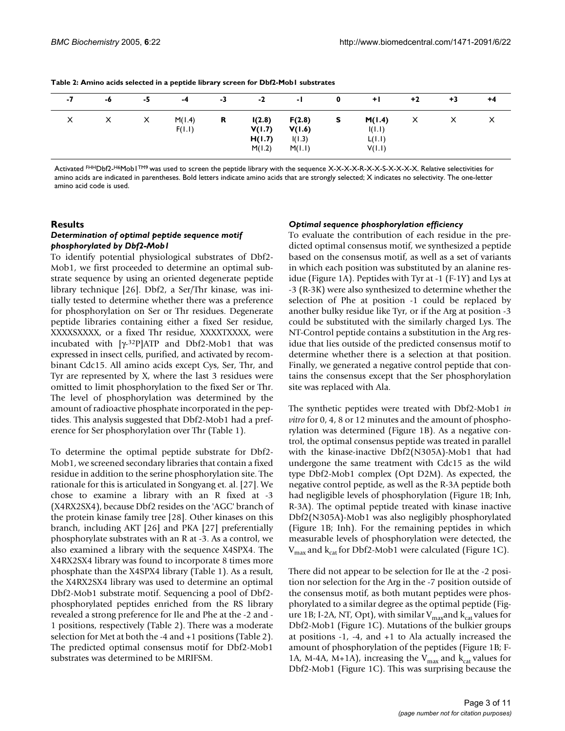| -7 | -6 | -5 | -4               | -3 | $-2$                                 | -1                                   | 0 | $+1$                                 | $+2$ | $+3$ | $+4$ |
|----|----|----|------------------|----|--------------------------------------|--------------------------------------|---|--------------------------------------|------|------|------|
| X  | X  | X  | M(1.4)<br>F(1.1) | R  | I(2.8)<br>V(1.7)<br>H(1.7)<br>M(1.2) | F(2.8)<br>V(1.6)<br>I(1.3)<br>M(I.1) | s | M(1.4)<br>I(I,I)<br>L(1.1)<br>V(I,I) | Х    | Х    | X    |

**Table 2: Amino acids selected in a peptide library screen for Dbf2-Mob1 substrates**

Activated FHHDbf2-H6Mob1TM9 was used to screen the peptide library with the sequence X-X-X-X-R-X-X-S-X-X-X-X. Relative selectivities for amino acids are indicated in parentheses. Bold letters indicate amino acids that are strongly selected; X indicates no selectivity. The one-letter amino acid code is used.

#### **Results**

#### *Determination of optimal peptide sequence motif phosphorylated by Dbf2-Mob1*

To identify potential physiological substrates of Dbf2- Mob1, we first proceeded to determine an optimal substrate sequence by using an oriented degenerate peptide library technique [26]. Dbf2, a Ser/Thr kinase, was initially tested to determine whether there was a preference for phosphorylation on Ser or Thr residues. Degenerate peptide libraries containing either a fixed Ser residue, XXXXSXXXX, or a fixed Thr residue, XXXXTXXXX, were incubated with  $[\gamma$ -32P]ATP and Dbf2-Mob1 that was expressed in insect cells, purified, and activated by recombinant Cdc15. All amino acids except Cys, Ser, Thr, and Tyr are represented by X, where the last 3 residues were omitted to limit phosphorylation to the fixed Ser or Thr. The level of phosphorylation was determined by the amount of radioactive phosphate incorporated in the peptides. This analysis suggested that Dbf2-Mob1 had a preference for Ser phosphorylation over Thr (Table 1).

To determine the optimal peptide substrate for Dbf2- Mob1, we screened secondary libraries that contain a fixed residue in addition to the serine phosphorylation site. The rationale for this is articulated in Songyang et. al. [27]. We chose to examine a library with an R fixed at -3 (X4RX2SX4), because Dbf2 resides on the 'AGC' branch of the protein kinase family tree [28]. Other kinases on this branch, including AKT [26] and PKA [27] preferentially phosphorylate substrates with an R at -3. As a control, we also examined a library with the sequence X4SPX4. The X4RX2SX4 library was found to incorporate 8 times more phosphate than the X4SPX4 library (Table 1). As a result, the X4RX2SX4 library was used to determine an optimal Dbf2-Mob1 substrate motif. Sequencing a pool of Dbf2 phosphorylated peptides enriched from the RS library revealed a strong preference for Ile and Phe at the -2 and - 1 positions, respectively (Table 2). There was a moderate selection for Met at both the -4 and +1 positions (Table 2). The predicted optimal consensus motif for Dbf2-Mob1 substrates was determined to be MRIFSM.

#### *Optimal sequence phosphorylation efficiency*

To evaluate the contribution of each residue in the predicted optimal consensus motif, we synthesized a peptide based on the consensus motif, as well as a set of variants in which each position was substituted by an alanine residue (Figure [1A](#page-3-0)). Peptides with Tyr at -1 (F-1Y) and Lys at -3 (R-3K) were also synthesized to determine whether the selection of Phe at position -1 could be replaced by another bulky residue like Tyr, or if the Arg at position -3 could be substituted with the similarly charged Lys. The NT-Control peptide contains a substitution in the Arg residue that lies outside of the predicted consensus motif to determine whether there is a selection at that position. Finally, we generated a negative control peptide that contains the consensus except that the Ser phosphorylation site was replaced with Ala.

The synthetic peptides were treated with Dbf2-Mob1 *in vitro* for 0, 4, 8 or 12 minutes and the amount of phosphorylation was determined (Figure [1B](#page-3-0)). As a negative control, the optimal consensus peptide was treated in parallel with the kinase-inactive Dbf2(N305A)-Mob1 that had undergone the same treatment with Cdc15 as the wild type Dbf2-Mob1 complex (Opt D2M). As expected, the negative control peptide, as well as the R-3A peptide both had negligible levels of phosphorylation (Figure [1B](#page-3-0); Inh, R-3A). The optimal peptide treated with kinase inactive Dbf2(N305A)-Mob1 was also negligibly phosphorylated (Figure [1B](#page-3-0); Inh). For the remaining peptides in which measurable levels of phosphorylation were detected, the  $V_{\text{max}}$  and  $k_{\text{cat}}$  for Dbf2-Mob1 were calculated (Figure [1C](#page-3-0)).

There did not appear to be selection for Ile at the -2 position nor selection for the Arg in the -7 position outside of the consensus motif, as both mutant peptides were phosphorylated to a similar degree as the optimal peptide (Fig-ure [1](#page-3-0)B; I-2A, NT, Opt), with similar  $V_{\text{max}}$  and  $k_{\text{cat}}$  values for Dbf2-Mob1 (Figure [1C](#page-3-0)). Mutations of the bulkier groups at positions -1, -4, and +1 to Ala actually increased the amount of phosphorylation of the peptides (Figure [1](#page-3-0)B; F-1A, M-4A, M+1A), increasing the  $V_{\text{max}}$  and  $k_{\text{cat}}$  values for Dbf2-Mob1 (Figure [1](#page-3-0)C). This was surprising because the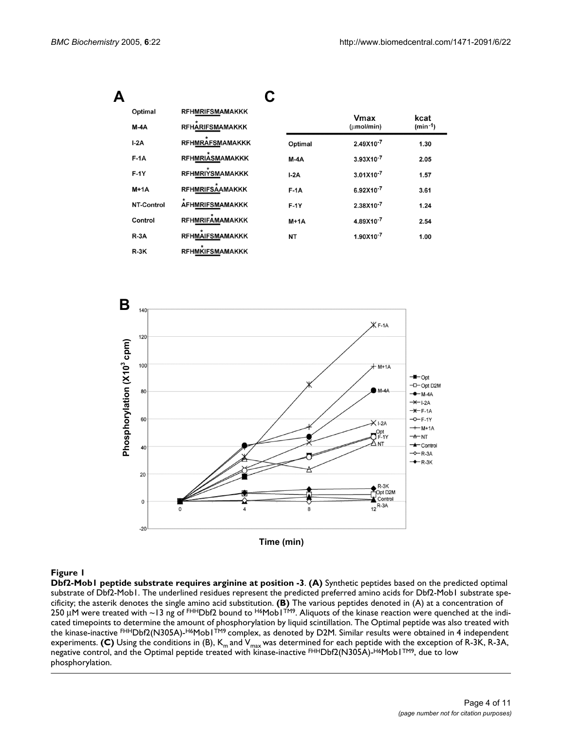<span id="page-3-0"></span>

| Optimal<br>$M-AA$ | <b>RFHMRIFSMAMAKKK</b><br><b>RFHARIFSMAMAKKK</b> |           | Vmax<br>(umol/min) | kcat<br>$(min - 1)$ |
|-------------------|--------------------------------------------------|-----------|--------------------|---------------------|
|                   |                                                  |           |                    |                     |
| $I-2A$            | <b>RFHMRAFSMAMAKKK</b>                           | Optimal   | 2.49X10-7          | 1.30                |
| $F-1A$            | <b>RFHMRIASMAMAKKK</b>                           | $M-4A$    | 3.93X10-7          | 2.05                |
| $F-1Y$            | <b>RFHMRIYSMAMAKKK</b>                           | $I-2A$    | $3.01X10^{-7}$     | 1.57                |
| $M+1A$            | <b>RFHMRIFSAAMAKKK</b>                           | $F-1A$    | 6.92X10-7          | 3.61                |
| NT-Control        | <b>AFHMRIFSMAMAKKK</b>                           | $F-1Y$    | 2.38X10-7          | 1.24                |
| Control           | <b>RFHMRIFAMAMAKKK</b>                           | $M+1A$    | 4.89X10-7          | 2.54                |
| $R-3A$            | <b>RFHMAIFSMAMAKKK</b>                           | <b>NT</b> | 1.90X10-7          | 1.00                |
| $R-3K$            | <b>RFHMKIFSMAMAKKK</b>                           |           |                    |                     |



#### Figure 1

**Dbf2-Mob1 peptide substrate requires arginine at position -3**. **(A)** Synthetic peptides based on the predicted optimal substrate of Dbf2-Mob1. The underlined residues represent the predicted preferred amino acids for Dbf2-Mob1 substrate specificity; the asterik denotes the single amino acid substitution. **(B)** The various peptides denoted in (A) at a concentration of 250  $\mu$ M were treated with ~13 ng of FHHDbf2 bound to H6Mob1TM9. Aliquots of the kinase reaction were quenched at the indicated timepoints to determine the amount of phosphorylation by liquid scintillation. The Optimal peptide was also treated with the kinase-inactive FHHDbf2(N305A)-H6Mob1TM9 complex, as denoted by D2M. Similar results were obtained in 4 independent experiments. **(C)** Using the conditions in (B),  $K_m$  and  $V_{max}$  was determined for each peptide with the exception of R-3K, R-3A, negative control, and the Optimal peptide treated with kinase-inactive FHHDbf2(N305A)-H6Mob1TM9, due to low phosphorylation.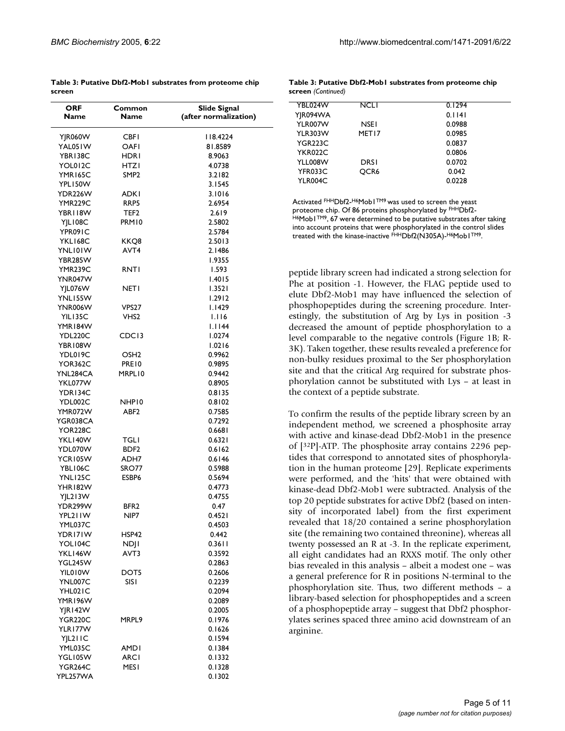<span id="page-4-0"></span>

|        | Table 3: Putative Dbf2-Mobl substrates from proteome chip |
|--------|-----------------------------------------------------------|
| screen |                                                           |

| <b>ORF</b><br>Name   | Common<br><b>Name</b> | <b>Slide Signal</b><br>(after normalization) |
|----------------------|-----------------------|----------------------------------------------|
|                      |                       |                                              |
| YJR060W              | CBFI                  | 118.4224                                     |
| YAL05 IW             | OAFI                  | 81.8589                                      |
| YBR138C              | HDRI                  | 8.9063                                       |
| YOL012C              | HTZI                  | 4.0738                                       |
| YMR165C              | SMP2                  | 3.2182                                       |
| YPL150W              |                       | 3.1545                                       |
| YDR226W              | <b>ADKI</b>           | 3.1016                                       |
| YMR229C              | RRP5                  | 2.6954                                       |
| YBRI18W              | TEF2                  | 2.619                                        |
| YJLI08C              | PRM10                 | 2.5802                                       |
| YPR091C              |                       | 2.5784                                       |
| YKLI68C              | KKQ8                  | 2.5013                                       |
| YNLI0IW              | AVT <sub>4</sub>      | 2.1486                                       |
| YBR285W              |                       | 1.9355                                       |
| YMR239C              | RNTI                  | 1.593                                        |
| YNR047W              |                       | 1.4015                                       |
| YJL076W              | NETI                  | 1.3521                                       |
| YNLI55W              |                       | 1.2912                                       |
| YNR006W              | VPS27                 | I.I429                                       |
| YILI35C              | VHS2                  | 1.116                                        |
| YMR 184W             |                       | I.II44                                       |
| YDL220C              | CDC <sub>13</sub>     | 1.0274                                       |
| YBR108W              |                       | 1.0216                                       |
| YDL019C              | OSH2                  | 0.9962                                       |
| YOR362C              | PRE10                 | 0.9895                                       |
| YNL284CA             | MRPL10                | 0.9442                                       |
| YKL077W              |                       | 0.8905                                       |
| YDR134C              |                       | 0.8135                                       |
| YDL002C              | NHP10                 | 0.8102                                       |
| YMR072W              | ABF <sub>2</sub>      | 0.7585                                       |
| YGR038CA             |                       | 0.7292                                       |
| YOR228C              |                       | 0.6681                                       |
| YKL140W              | TGLI                  | 0.6321                                       |
| YDL070W              | BDF <sub>2</sub>      | 0.6162                                       |
| YCR105W              | ADH7                  | 0.6146                                       |
| YBL106C              | SRO77                 | 0.5988                                       |
| YNLI <sub>25</sub> C | ESBP6                 | 0.5694                                       |
| YHR182W              |                       | 0.4773                                       |
| YJL213W              |                       | 0.4755                                       |
| YDR299W              | BFR2                  | 0.47                                         |
| YPL21IW              | NIP7                  | 0.4521                                       |
| YML037C              |                       | 0.4503                                       |
| YDRI7IW              | HSP42                 | 0.442                                        |
| YOL104C              | NDJI                  | 0.3611                                       |
| YKLI46W              | AVT3                  | 0.3592                                       |
| YGL245W              |                       | 0.2863                                       |
| YIL010W              | DOT5                  | 0.2606                                       |
| YNL007C              | sist                  | 0.2239                                       |
| YHL021C              |                       | 0.2094                                       |
| YMR 196W             |                       | 0.2089                                       |
| YJR I 42 W           |                       | 0.2005                                       |
| YGR220C              | MRPL9                 | 0.1976                                       |
| YLR I 77W            |                       | 0.1626                                       |
| YJL211C              |                       | 0.1594                                       |
| YML035C              | AMDI                  | 0.1384                                       |
| YGL105W              | ARCI                  | 0.1332                                       |
| YGR264C              | MESI                  | 0.1328                                       |
| YPL257WA             |                       | 0.1302                                       |

|                    | Table 3: Putative Dbf2-Mobl substrates from proteome chip |
|--------------------|-----------------------------------------------------------|
| screen (Continued) |                                                           |

| YBL024W        | NCLI              | 0.1294 |  |
|----------------|-------------------|--------|--|
| YJR094WA       |                   | 0.1141 |  |
| YLR007W        | <b>NSFI</b>       | 0.0988 |  |
| <b>YLR303W</b> | MET <sub>17</sub> | 0.0985 |  |
| YGR223C        |                   | 0.0837 |  |
| YKR022C        |                   | 0.0806 |  |
| YLL008W        | DRSI              | 0.0702 |  |
| YFR033C        | OCR <sub>6</sub>  | 0.042  |  |
| YLR004C        |                   | 0.0228 |  |
|                |                   |        |  |

Activated FHHDbf2-H6Mob1TM9 was used to screen the yeast proteome chip. Of 86 proteins phosphorylated by FHHDbf2-H6Mob1<sup>TM9</sup>, 67 were determined to be putative substrates after taking into account proteins that were phosphorylated in the control slides treated with the kinase-inactive FHHDbf2(N305A)-H6Mob1TM9.

peptide library screen had indicated a strong selection for Phe at position -1. However, the FLAG peptide used to elute Dbf2-Mob1 may have influenced the selection of phosphopeptides during the screening procedure. Interestingly, the substitution of Arg by Lys in position -3 decreased the amount of peptide phosphorylation to a level comparable to the negative controls (Figure [1](#page-3-0)B; R-3K). Taken together, these results revealed a preference for non-bulky residues proximal to the Ser phosphorylation site and that the critical Arg required for substrate phosphorylation cannot be substituted with Lys – at least in the context of a peptide substrate.

To confirm the results of the peptide library screen by an independent method, we screened a phosphosite array with active and kinase-dead Dbf2-Mob1 in the presence of [32P]-ATP. The phosphosite array contains 2296 peptides that correspond to annotated sites of phosphorylation in the human proteome [29]. Replicate experiments were performed, and the 'hits' that were obtained with kinase-dead Dbf2-Mob1 were subtracted. Analysis of the top 20 peptide substrates for active Dbf2 (based on intensity of incorporated label) from the first experiment revealed that 18/20 contained a serine phosphorylation site (the remaining two contained threonine), whereas all twenty possessed an R at -3. In the replicate experiment, all eight candidates had an RXXS motif. The only other bias revealed in this analysis – albeit a modest one – was a general preference for R in positions N-terminal to the phosphorylation site. Thus, two different methods – a library-based selection for phosphopeptides and a screen of a phosphopeptide array – suggest that Dbf2 phosphorylates serines spaced three amino acid downstream of an arginine.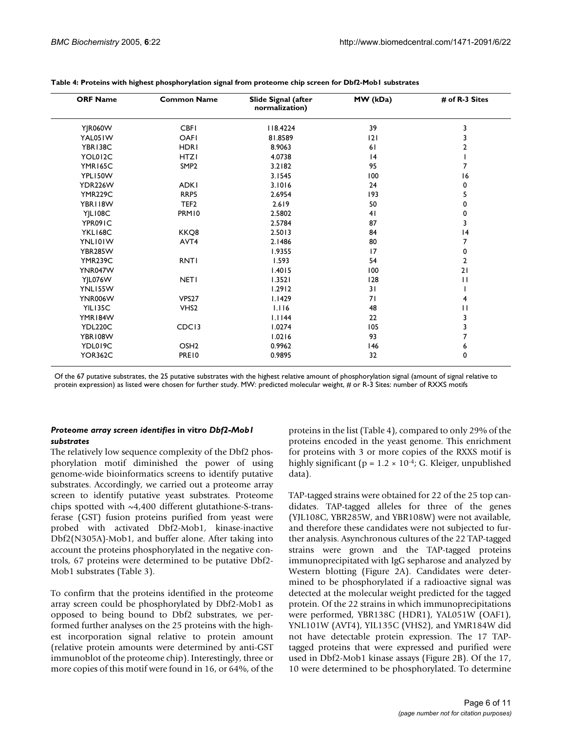| <b>ORF Name</b>      | <b>Common Name</b> | Slide Signal (after<br>normalization) | MW (kDa) | # of R-3 Sites |
|----------------------|--------------------|---------------------------------------|----------|----------------|
| <b>Y R060W</b>       | <b>CBFI</b>        | 118.4224                              | 39       | 3              |
| YAL051W              | OAFI               | 81.8589                               | 2        | 3              |
| YBR138C              | <b>HDRI</b>        | 8.9063                                | 61       | 2              |
| YOL012C              | <b>HTZI</b>        | 4.0738                                | 4        |                |
| YMR165C              | SMP <sub>2</sub>   | 3.2182                                | 95       | 7              |
| YPL150W              |                    | 3.1545                                | 100      | 16             |
| YDR226W              | <b>ADKI</b>        | 3.1016                                | 24       | 0              |
| <b>YMR229C</b>       | RRP5               | 2.6954                                | 193      | 5              |
| YBR118W              | TEF <sub>2</sub>   | 2.619                                 | 50       | 0              |
| YJL108C              | PRM10              | 2.5802                                | 41       | 0              |
| YPR091C              |                    | 2.5784                                | 87       | 3              |
| YKL168C              | KKO8               | 2.5013                                | 84       | 4              |
| YNLI0IW              | AVT4               | 2.1486                                | 80       | 7              |
| <b>YBR285W</b>       |                    | 1.9355                                | 17       | 0              |
| YMR <sub>239</sub> C | <b>RNTI</b>        | 1.593                                 | 54       | $\overline{2}$ |
| YNR047W              |                    | 1.4015                                | 100      | 21             |
| <b>YJL076W</b>       | <b>NET1</b>        | 1.3521                                | 128      | $\mathbf{H}$   |
| YNL155W              |                    | 1.2912                                | 31       |                |
| <b>YNR006W</b>       | VPS <sub>27</sub>  | 1.1429                                | 71       | 4              |
| <b>YIL135C</b>       | VHS <sub>2</sub>   | 1.116                                 | 48       | П              |
| YMR184W              |                    | 1.1144                                | 22       | 3              |
| YDL220C              | CDC <sub>13</sub>  | 1.0274                                | 105      | 3              |
| YBR108W              |                    | 1.0216                                | 93       | 7              |
| YDL019C              | OSH <sub>2</sub>   | 0.9962                                | 146      | 6              |
| <b>YOR362C</b>       | PRE10              | 0.9895                                | 32       | 0              |

#### **Table 4: Proteins with highest phosphorylation signal from proteome chip screen for Dbf2-Mob1 substrates**

Of the 67 putative substrates, the 25 putative substrates with the highest relative amount of phosphorylation signal (amount of signal relative to protein expression) as listed were chosen for further study. MW: predicted molecular weight, # or R-3 Sites: number of RXXS motifs

#### *Proteome array screen identifies* **in vitro** *Dbf2-Mob1 substrates*

The relatively low sequence complexity of the Dbf2 phosphorylation motif diminished the power of using genome-wide bioinformatics screens to identify putative substrates. Accordingly, we carried out a proteome array screen to identify putative yeast substrates. Proteome chips spotted with  $\sim$ 4,400 different glutathione-S-transferase (GST) fusion proteins purified from yeast were probed with activated Dbf2-Mob1, kinase-inactive Dbf2(N305A)-Mob1, and buffer alone. After taking into account the proteins phosphorylated in the negative controls, 67 proteins were determined to be putative Dbf2- Mob1 substrates (Table [3](#page-4-0)).

To confirm that the proteins identified in the proteome array screen could be phosphorylated by Dbf2-Mob1 as opposed to being bound to Dbf2 substrates, we performed further analyses on the 25 proteins with the highest incorporation signal relative to protein amount (relative protein amounts were determined by anti-GST immunoblot of the proteome chip). Interestingly, three or more copies of this motif were found in 16, or 64%, of the proteins in the list (Table 4), compared to only 29% of the proteins encoded in the yeast genome. This enrichment for proteins with 3 or more copies of the RXXS motif is highly significant ( $p = 1.2 \times 10^{-4}$ ; G. Kleiger, unpublished data).

TAP-tagged strains were obtained for 22 of the 25 top candidates. TAP-tagged alleles for three of the genes (YJL108C, YBR285W, and YBR108W) were not available, and therefore these candidates were not subjected to further analysis. Asynchronous cultures of the 22 TAP-tagged strains were grown and the TAP-tagged proteins immunoprecipitated with IgG sepharose and analyzed by Western blotting (Figure 2A). Candidates were determined to be phosphorylated if a radioactive signal was detected at the molecular weight predicted for the tagged protein. Of the 22 strains in which immunoprecipitations were performed, YBR138C (HDR1), YAL051W (OAF1), YNL101W (AVT4), YIL135C (VHS2), and YMR184W did not have detectable protein expression. The 17 TAPtagged proteins that were expressed and purified were used in Dbf2-Mob1 kinase assays (Figure 2B). Of the 17, 10 were determined to be phosphorylated. To determine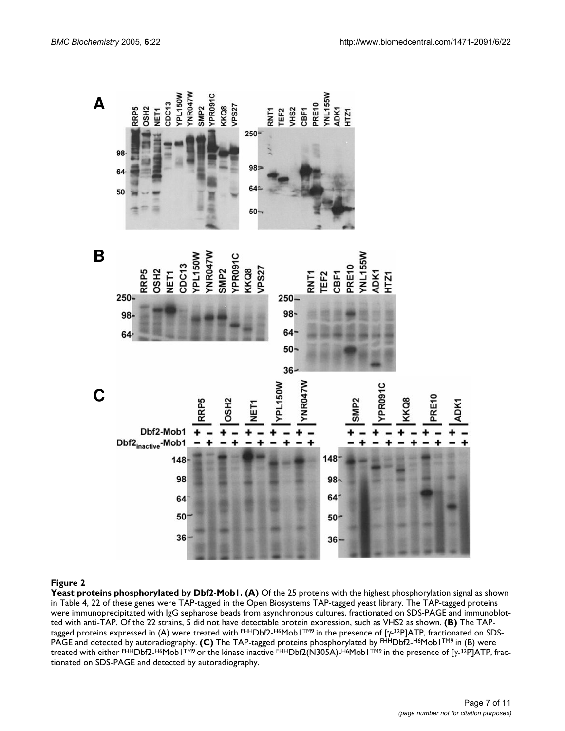

#### **Figure 2**

Yeast proteins phosphorylated by Dbf2-Mob1. (A) Of the 25 proteins with the highest phosphorylation signal as shown in Table 4, 22 of these genes were TAP-tagged in the Open Biosystems TAP-tagged yeast library. The TAP-tagged proteins were immunoprecipitated with IgG sepharose beads from asynchronous cultures, fractionated on SDS-PAGE and immunoblotted with anti-TAP. Of the 22 strains, 5 did not have detectable protein expression, such as VHS2 as shown. **(B)** The TAPtagged proteins expressed in (A) were treated with FHHDbf2-H6Mob1TM9 in the presence of [γ-32P]ATP, fractionated on SDS-PAGE and detected by autoradiography. **(C)** The TAP-tagged proteins phosphorylated by FHHDbf2-H6Mob1TM9 in (B) were treated with either FHHDbf2-H6Mob1TM9 or the kinase inactive FHHDbf2(N305A)-H6Mob1TM9 in the presence of [γ-32P]ATP, fractionated on SDS-PAGE and detected by autoradiography.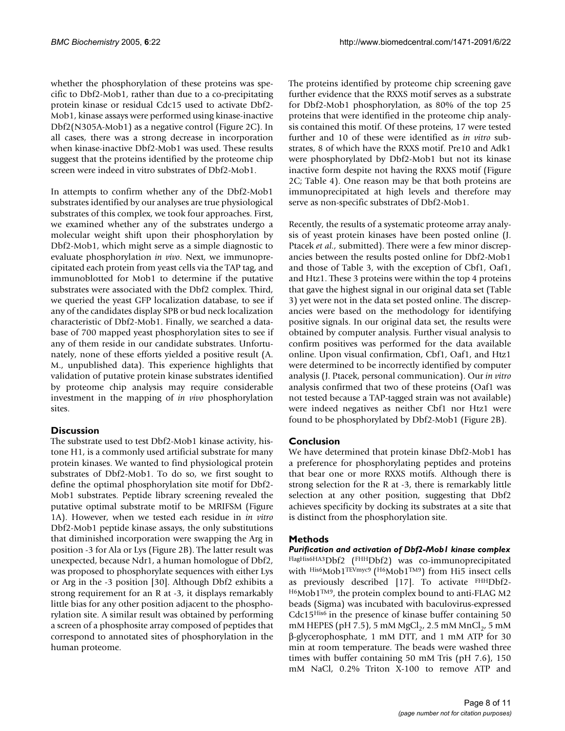whether the phosphorylation of these proteins was specific to Dbf2-Mob1, rather than due to a co-precipitating protein kinase or residual Cdc15 used to activate Dbf2- Mob1, kinase assays were performed using kinase-inactive Dbf2(N305A-Mob1) as a negative control (Figure 2C). In all cases, there was a strong decrease in incorporation when kinase-inactive Dbf2-Mob1 was used. These results suggest that the proteins identified by the proteome chip screen were indeed in vitro substrates of Dbf2-Mob1.

In attempts to confirm whether any of the Dbf2-Mob1 substrates identified by our analyses are true physiological substrates of this complex, we took four approaches. First, we examined whether any of the substrates undergo a molecular weight shift upon their phosphorylation by Dbf2-Mob1, which might serve as a simple diagnostic to evaluate phosphorylation *in vivo*. Next, we immunoprecipitated each protein from yeast cells via the TAP tag, and immunoblotted for Mob1 to determine if the putative substrates were associated with the Dbf2 complex. Third, we queried the yeast GFP localization database, to see if any of the candidates display SPB or bud neck localization characteristic of Dbf2-Mob1. Finally, we searched a database of 700 mapped yeast phosphorylation sites to see if any of them reside in our candidate substrates. Unfortunately, none of these efforts yielded a positive result (A. M., unpublished data). This experience highlights that validation of putative protein kinase substrates identified by proteome chip analysis may require considerable investment in the mapping of *in vivo* phosphorylation sites.

# **Discussion**

The substrate used to test Dbf2-Mob1 kinase activity, histone H1, is a commonly used artificial substrate for many protein kinases. We wanted to find physiological protein substrates of Dbf2-Mob1. To do so, we first sought to define the optimal phosphorylation site motif for Dbf2- Mob1 substrates. Peptide library screening revealed the putative optimal substrate motif to be MRIFSM (Figure [1A](#page-3-0)). However, when we tested each residue in *in vitro* Dbf2-Mob1 peptide kinase assays, the only substitutions that diminished incorporation were swapping the Arg in position -3 for Ala or Lys (Figure 2B). The latter result was unexpected, because Ndr1, a human homologue of Dbf2, was proposed to phosphorylate sequences with either Lys or Arg in the -3 position [30]. Although Dbf2 exhibits a strong requirement for an R at -3, it displays remarkably little bias for any other position adjacent to the phosphorylation site. A similar result was obtained by performing a screen of a phosphosite array composed of peptides that correspond to annotated sites of phosphorylation in the human proteome.

The proteins identified by proteome chip screening gave further evidence that the RXXS motif serves as a substrate for Dbf2-Mob1 phosphorylation, as 80% of the top 25 proteins that were identified in the proteome chip analysis contained this motif. Of these proteins, 17 were tested further and 10 of these were identified as *in vitro* substrates, 8 of which have the RXXS motif. Pre10 and Adk1 were phosphorylated by Dbf2-Mob1 but not its kinase inactive form despite not having the RXXS motif (Figure 2C; Table 4). One reason may be that both proteins are immunoprecipitated at high levels and therefore may serve as non-specific substrates of Dbf2-Mob1.

Recently, the results of a systematic proteome array analysis of yeast protein kinases have been posted online (J. Ptacek *et al.,* submitted). There were a few minor discrepancies between the results posted online for Dbf2-Mob1 and those of Table [3,](#page-4-0) with the exception of Cbf1, Oaf1, and Htz1. These 3 proteins were within the top 4 proteins that gave the highest signal in our original data set (Table [3](#page-4-0)) yet were not in the data set posted online. The discrepancies were based on the methodology for identifying positive signals. In our original data set, the results were obtained by computer analysis. Further visual analysis to confirm positives was performed for the data available online. Upon visual confirmation, Cbf1, Oaf1, and Htz1 were determined to be incorrectly identified by computer analysis (J. Ptacek, personal communication). Our *in vitro* analysis confirmed that two of these proteins (Oaf1 was not tested because a TAP-tagged strain was not available) were indeed negatives as neither Cbf1 nor Htz1 were found to be phosphorylated by Dbf2-Mob1 (Figure 2B).

# **Conclusion**

We have determined that protein kinase Dbf2-Mob1 has a preference for phosphorylating peptides and proteins that bear one or more RXXS motifs. Although there is strong selection for the R at -3, there is remarkably little selection at any other position, suggesting that Dbf2 achieves specificity by docking its substrates at a site that is distinct from the phosphorylation site.

# **Methods**

*Purification and activation of Dbf2-Mob1 kinase complex* FlagHis6HA3Dbf2 (FHHDbf2) was co-immunoprecipitated with His6Mob1TEVmyc9 (H6Mob1TM9) from Hi5 insect cells as previously described [17]. To activate FHHDbf2- H6Mob1TM9, the protein complex bound to anti-FLAG M2 beads (Sigma) was incubated with baculovirus-expressed Cdc15His6 in the presence of kinase buffer containing 50 mM HEPES (pH 7.5), 5 mM MgCl<sub>2</sub>, 2.5 mM MnCl<sub>2</sub>, 5 mM β-glycerophosphate, 1 mM DTT, and 1 mM ATP for 30 min at room temperature. The beads were washed three times with buffer containing 50 mM Tris (pH 7.6), 150 mM NaCl, 0.2% Triton X-100 to remove ATP and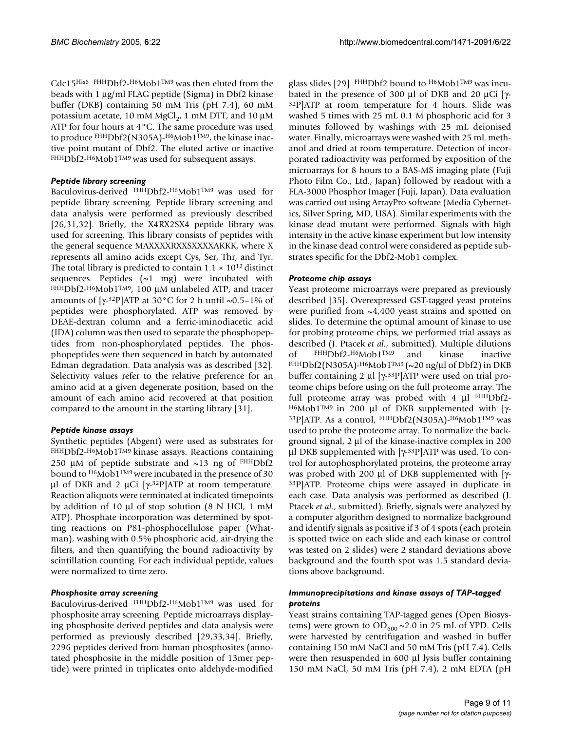Cdc15His6. FHHDbf2-H6Mob1TM9 was then eluted from the beads with 1 µg/ml FLAG peptide (Sigma) in Dbf2 kinase buffer (DKB) containing 50 mM Tris (pH 7.4), 60 mM potassium acetate, 10 mM  $MgCl<sub>2</sub>$ , 1 mM DTT, and 10  $\mu$ M ATP for four hours at 4°C. The same procedure was used to produce FHHDbf2(N305A)-H6Mob1TM9, the kinase inactive point mutant of Dbf2. The eluted active or inactive FHHDbf2-H6Mob1<sup>TM9</sup> was used for subsequent assays.

### *Peptide library screening*

Baculovirus-derived FHHDbf2-H6Mob1TM9 was used for peptide library screening. Peptide library screening and data analysis were performed as previously described [26,31,32]. Briefly, the X4RX2SX4 peptide library was used for screening. This library consists of peptides with the general sequence MAXXXXRXXSXXXXAKKK, where X represents all amino acids except Cys, Ser, Thr, and Tyr. The total library is predicted to contain  $1.1 \times 10^{12}$  distinct sequences. Peptides  $(\sim 1$  mg) were incubated with FHHDbf2-H6Mob1TM9, 100 µM unlabeled ATP, and tracer amounts of [ $\gamma$ -32P]ATP at 30°C for 2 h until ~0.5–1% of peptides were phosphorylated. ATP was removed by DEAE-dextran column and a ferric-iminodiacetic acid (IDA) column was then used to separate the phosphopeptides from non-phosphorylated peptides. The phosphopeptides were then sequenced in batch by automated Edman degradation. Data analysis was as described [32]. Selectivity values refer to the relative preference for an amino acid at a given degenerate position, based on the amount of each amino acid recovered at that position compared to the amount in the starting library [31].

# *Peptide kinase assays*

Synthetic peptides (Abgent) were used as substrates for FHHDbf2-H6Mob1TM9 kinase assays. Reactions containing 250  $\mu$ M of peptide substrate and  $\sim$ 13 ng of FHHDbf2 bound to H6Mob1<sup>TM9</sup> were incubated in the presence of 30 μl of DKB and 2 μCi [γ-<sup>32</sup>P]ATP at room temperature. Reaction aliquots were terminated at indicated timepoints by addition of 10 µl of stop solution (8 N HCl, 1 mM ATP). Phosphate incorporation was determined by spotting reactions on P81-phosphocellulose paper (Whatman), washing with 0.5% phosphoric acid, air-drying the filters, and then quantifying the bound radioactivity by scintillation counting. For each individual peptide, values were normalized to time zero.

# *Phosphosite array screening*

Baculovirus-derived FHHDbf2-H6Mob1TM9 was used for phosphosite array screening. Peptide microarrays displaying phosphosite derived peptides and data analysis were performed as previously described [29,33,34]. Briefly, 2296 peptides derived from human phosphosites (annotated phosphosite in the middle position of 13mer peptide) were printed in triplicates onto aldehyde-modified

glass slides [29]. FHHDbf2 bound to H6Mob1TM9 was incubated in the presence of 300  $\mu$ l of DKB and 20  $\mu$ Ci [γ-32P]ATP at room temperature for 4 hours. Slide was washed 5 times with 25 mL 0.1 M phosphoric acid for 3 minutes followed by washings with 25 mL deionised water. Finally, microarrays were washed with 25 mL methanol and dried at room temperature. Detection of incorporated radioactivity was performed by exposition of the microarrays for 8 hours to a BAS-MS imaging plate (Fuji Photo Film Co., Ltd., Japan) followed by readout with a FLA-3000 Phosphor Imager (Fuji, Japan). Data evaluation was carried out using ArrayPro software (Media Cybernetics, Silver Spring, MD, USA). Similar experiments with the kinase dead mutant were performed. Signals with high intensity in the active kinase experiment but low intensity in the kinase dead control were considered as peptide substrates specific for the Dbf2-Mob1 complex.

# *Proteome chip assays*

Yeast proteome microarrays were prepared as previously described [35]. Overexpressed GST-tagged yeast proteins were purified from  $\sim$ 4,400 yeast strains and spotted on slides. To determine the optimal amount of kinase to use for probing proteome chips, we performed trial assays as described (J. Ptacek *et al.,* submitted). Multiple dilutions of FHHDbf2-H6Mob1TM9 and kinase inactive FHHDbf2(N305A)-H6Mob1TM9 (~20 ng/ $\mu$ l of Dbf2) in DKB buffer containing 2 µl [γ-33P]ATP were used on trial proteome chips before using on the full proteome array. The full proteome array was probed with 4 µl FHHDbf2-H6Mob1TM9 in 200 µl of DKB supplemented with [γ- 33P]ATP. As a control, FHHDbf2(N305A)-H6Mob1TM9 was used to probe the proteome array. To normalize the background signal, 2 µl of the kinase-inactive complex in 200 µl DKB supplemented with [γ-33P]ATP was used. To control for autophosphorylated proteins, the proteome array was probed with 200 µl of DKB supplemented with [γ- 33P]ATP. Proteome chips were assayed in duplicate in each case. Data analysis was performed as described (J. Ptacek *et al*., submitted). Briefly, signals were analyzed by a computer algorithm designed to normalize background and identify signals as positive if 3 of 4 spots (each protein is spotted twice on each slide and each kinase or control was tested on 2 slides) were 2 standard deviations above background and the fourth spot was 1.5 standard deviations above background.

# *Immunoprecipitations and kinase assays of TAP-tagged proteins*

Yeast strains containing TAP-tagged genes (Open Biosystems) were grown to  $OD_{600} \sim 2.0$  in 25 mL of YPD. Cells were harvested by centrifugation and washed in buffer containing 150 mM NaCl and 50 mM Tris (pH 7.4). Cells were then resuspended in 600 µl lysis buffer containing 150 mM NaCl, 50 mM Tris (pH 7.4), 2 mM EDTA (pH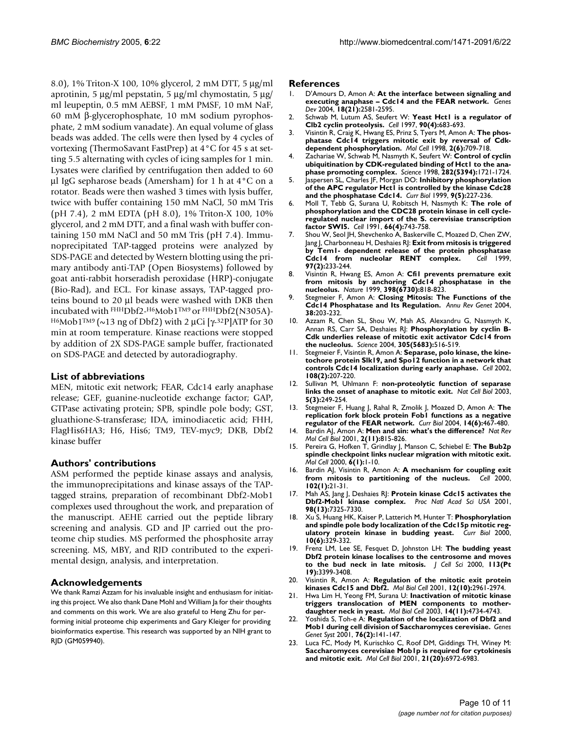8.0), 1% Triton-X 100, 10% glycerol, 2 mM DTT, 5 µg/ml aprotinin, 5  $\mu$ g/ml pepstatin, 5  $\mu$ g/ml chymostatin, 5  $\mu$ g/ ml leupeptin, 0.5 mM AEBSF, 1 mM PMSF, 10 mM NaF, 60 mM β-glycerophosphate, 10 mM sodium pyrophosphate, 2 mM sodium vanadate). An equal volume of glass beads was added. The cells were then lysed by 4 cycles of vortexing (ThermoSavant FastPrep) at 4°C for 45 s at setting 5.5 alternating with cycles of icing samples for 1 min. Lysates were clarified by centrifugation then added to 60 µl IgG sepharose beads (Amersham) for 1 h at 4°C on a rotator. Beads were then washed 3 times with lysis buffer, twice with buffer containing 150 mM NaCl, 50 mM Tris (pH 7.4), 2 mM EDTA (pH 8.0), 1% Triton-X 100, 10% glycerol, and 2 mM DTT, and a final wash with buffer containing 150 mM NaCl and 50 mM Tris (pH 7.4). Immunoprecipitated TAP-tagged proteins were analyzed by SDS-PAGE and detected by Western blotting using the primary antibody anti-TAP (Open Biosystems) followed by goat anti-rabbit horseradish peroxidase (HRP)-conjugate (Bio-Rad), and ECL. For kinase assays, TAP-tagged proteins bound to 20 µl beads were washed with DKB then incubated with FHHDbf2-H6Mob1TM9 or FHHDbf2(N305A)- H6Mob1<sup>TM9</sup> (~13 ng of Dbf2) with 2 μCi [γ-<sup>32</sup>P]ATP for 30 min at room temperature. Kinase reactions were stopped by addition of 2X SDS-PAGE sample buffer, fractionated on SDS-PAGE and detected by autoradiography.

#### **List of abbreviations**

MEN, mitotic exit network; FEAR, Cdc14 early anaphase release; GEF, guanine-nucleotide exchange factor; GAP, GTPase activating protein; SPB, spindle pole body; GST, gluathione-S-transferase; IDA, iminodiacetic acid; FHH, FlagHis6HA3; H6, His6; TM9, TEV-myc9; DKB, Dbf2 kinase buffer

#### **Authors' contributions**

ASM performed the peptide kinase assays and analysis, the immunoprecipitations and kinase assays of the TAPtagged strains, preparation of recombinant Dbf2-Mob1 complexes used throughout the work, and preparation of the manuscript. AEHE carried out the peptide library screening and analysis. GD and JP carried out the proteome chip studies. MS performed the phosphosite array screening. MS, MBY, and RJD contributed to the experimental design, analysis, and interpretation.

#### **Acknowledgements**

We thank Ramzi Azzam for his invaluable insight and enthusiasm for initiating this project. We also thank Dane Mohl and William Ja for their thoughts and comments on this work. We are also grateful to Heng Zhu for performing initial proteome chip experiments and Gary Kleiger for providing bioinformatics expertise. This research was supported by an NIH grant to RJD (GM059940).

#### **References**

- 1. D'Amours D, Amon A: **[At the interface between signaling and](http://www.ncbi.nlm.nih.gov/entrez/query.fcgi?cmd=Retrieve&db=PubMed&dopt=Abstract&list_uids=15520278) [executing anaphase – Cdc14 and the FEAR network.](http://www.ncbi.nlm.nih.gov/entrez/query.fcgi?cmd=Retrieve&db=PubMed&dopt=Abstract&list_uids=15520278)** *Genes Dev* 2004, **18(21):**2581-2595.
- 2. Schwab M, Lutum AS, Seufert W: **[Yeast Hct1 is a regulator of](http://www.ncbi.nlm.nih.gov/entrez/query.fcgi?cmd=Retrieve&db=PubMed&dopt=Abstract&list_uids=9288748) [Clb2 cyclin proteolysis.](http://www.ncbi.nlm.nih.gov/entrez/query.fcgi?cmd=Retrieve&db=PubMed&dopt=Abstract&list_uids=9288748)** *Cell* 1997, **90(4):**683-693.
- 3. Visintin R, Craig K, Hwang ES, Prinz S, Tyers M, Amon A: **[The phos](http://www.ncbi.nlm.nih.gov/entrez/query.fcgi?cmd=Retrieve&db=PubMed&dopt=Abstract&list_uids=9885559)[phatase Cdc14 triggers mitotic exit by reversal of Cdk](http://www.ncbi.nlm.nih.gov/entrez/query.fcgi?cmd=Retrieve&db=PubMed&dopt=Abstract&list_uids=9885559)[dependent phosphorylation.](http://www.ncbi.nlm.nih.gov/entrez/query.fcgi?cmd=Retrieve&db=PubMed&dopt=Abstract&list_uids=9885559)** *Mol Cell* 1998, **2(6):**709-718.
- 4. Zachariae W, Schwab M, Nasmyth K, Seufert W: **[Control of cyclin](http://www.ncbi.nlm.nih.gov/entrez/query.fcgi?cmd=Retrieve&db=PubMed&dopt=Abstract&list_uids=9831566) [ubiquitination by CDK-regulated binding of Hct1 to the ana](http://www.ncbi.nlm.nih.gov/entrez/query.fcgi?cmd=Retrieve&db=PubMed&dopt=Abstract&list_uids=9831566)[phase promoting complex.](http://www.ncbi.nlm.nih.gov/entrez/query.fcgi?cmd=Retrieve&db=PubMed&dopt=Abstract&list_uids=9831566)** *Science* 1998, **282(5394):**1721-1724.
- 5. Jaspersen SL, Charles JF, Morgan DO: **[Inhibitory phosphorylation](http://www.ncbi.nlm.nih.gov/entrez/query.fcgi?cmd=Retrieve&db=PubMed&dopt=Abstract&list_uids=10074450)** [of the APC regulator Hct1 is controlled by the kinase Cdc28](http://www.ncbi.nlm.nih.gov/entrez/query.fcgi?cmd=Retrieve&db=PubMed&dopt=Abstract&list_uids=10074450) **[and the phosphatase Cdc14.](http://www.ncbi.nlm.nih.gov/entrez/query.fcgi?cmd=Retrieve&db=PubMed&dopt=Abstract&list_uids=10074450)** *Curr Biol* 1999, **9(5):**227-236.
- 6. Moll T, Tebb G, Surana U, Robitsch H, Nasmyth K: **[The role of](http://www.ncbi.nlm.nih.gov/entrez/query.fcgi?cmd=Retrieve&db=PubMed&dopt=Abstract&list_uids=1652372) phosphorylation and the CDC28 protein kinase in cell cycle[regulated nuclear import of the S. cerevisiae transcription](http://www.ncbi.nlm.nih.gov/entrez/query.fcgi?cmd=Retrieve&db=PubMed&dopt=Abstract&list_uids=1652372) [factor SWI5.](http://www.ncbi.nlm.nih.gov/entrez/query.fcgi?cmd=Retrieve&db=PubMed&dopt=Abstract&list_uids=1652372)** *Cell* 1991, **66(4):**743-758.
- 7. Shou W, Seol JH, Shevchenko A, Baskerville C, Moazed D, Chen ZW, Jang J, Charbonneau H, Deshaies RJ: **[Exit from mitosis is triggered](http://www.ncbi.nlm.nih.gov/entrez/query.fcgi?cmd=Retrieve&db=PubMed&dopt=Abstract&list_uids=10219244) [by Tem1- dependent release of the protein phosphatase](http://www.ncbi.nlm.nih.gov/entrez/query.fcgi?cmd=Retrieve&db=PubMed&dopt=Abstract&list_uids=10219244)** [Cdc14 from nucleolar RENT complex.](http://www.ncbi.nlm.nih.gov/entrez/query.fcgi?cmd=Retrieve&db=PubMed&dopt=Abstract&list_uids=10219244) **97(2):**233-244.
- 8. Visintin R, Hwang ES, Amon A: **[Cfi1 prevents premature exit](http://www.ncbi.nlm.nih.gov/entrez/query.fcgi?cmd=Retrieve&db=PubMed&dopt=Abstract&list_uids=10235265) [from mitosis by anchoring Cdc14 phosphatase in the](http://www.ncbi.nlm.nih.gov/entrez/query.fcgi?cmd=Retrieve&db=PubMed&dopt=Abstract&list_uids=10235265) [nucleolus.](http://www.ncbi.nlm.nih.gov/entrez/query.fcgi?cmd=Retrieve&db=PubMed&dopt=Abstract&list_uids=10235265)** *Nature* 1999, **398(6730):**818-823.
- 9. Stegmeier F, Amon A: **[Closing Mitosis: The Functions of the](http://www.ncbi.nlm.nih.gov/entrez/query.fcgi?cmd=Retrieve&db=PubMed&dopt=Abstract&list_uids=15568976) [Cdc14 Phosphatase and Its Regulation.](http://www.ncbi.nlm.nih.gov/entrez/query.fcgi?cmd=Retrieve&db=PubMed&dopt=Abstract&list_uids=15568976)** *Annu Rev Genet* 2004, **38:**203-232.
- 10. Azzam R, Chen SL, Shou W, Mah AS, Alexandru G, Nasmyth K, Annan RS, Carr SA, Deshaies R|: [Phosphorylation by cyclin B-](http://www.ncbi.nlm.nih.gov/entrez/query.fcgi?cmd=Retrieve&db=PubMed&dopt=Abstract&list_uids=15273393)**[Cdk underlies release of mitotic exit activator Cdc14 from](http://www.ncbi.nlm.nih.gov/entrez/query.fcgi?cmd=Retrieve&db=PubMed&dopt=Abstract&list_uids=15273393) [the nucleolus.](http://www.ncbi.nlm.nih.gov/entrez/query.fcgi?cmd=Retrieve&db=PubMed&dopt=Abstract&list_uids=15273393)** *Science* 2004, **305(5683):**516-519.
- 11. Stegmeier F, Visintin R, Amon A: **[Separase, polo kinase, the kine](http://www.ncbi.nlm.nih.gov/entrez/query.fcgi?cmd=Retrieve&db=PubMed&dopt=Abstract&list_uids=11832211)[tochore protein Slk19, and Spo12 function in a network that](http://www.ncbi.nlm.nih.gov/entrez/query.fcgi?cmd=Retrieve&db=PubMed&dopt=Abstract&list_uids=11832211) [controls Cdc14 localization during early anaphase.](http://www.ncbi.nlm.nih.gov/entrez/query.fcgi?cmd=Retrieve&db=PubMed&dopt=Abstract&list_uids=11832211)** *Cell* 2002, **108(2):**207-220.
- 12. Sullivan M, Uhlmann F: **[non-proteolytic function of separase](http://www.ncbi.nlm.nih.gov/entrez/query.fcgi?cmd=Retrieve&db=PubMed&dopt=Abstract&list_uids=12598903) [links the onset of anaphase to mitotic exit.](http://www.ncbi.nlm.nih.gov/entrez/query.fcgi?cmd=Retrieve&db=PubMed&dopt=Abstract&list_uids=12598903)** *Nat Cell Biol* 2003, **5(3):**249-254.
- 13. Stegmeier F, Huang J, Rahal R, Zmolik J, Moazed D, Amon A: **[The](http://www.ncbi.nlm.nih.gov/entrez/query.fcgi?cmd=Retrieve&db=PubMed&dopt=Abstract&list_uids=15043811) [replication fork block protein Fob1 functions as a negative](http://www.ncbi.nlm.nih.gov/entrez/query.fcgi?cmd=Retrieve&db=PubMed&dopt=Abstract&list_uids=15043811) [regulator of the FEAR network.](http://www.ncbi.nlm.nih.gov/entrez/query.fcgi?cmd=Retrieve&db=PubMed&dopt=Abstract&list_uids=15043811)** *Curr Biol* 2004, **14(6):**467-480.
- 14. Bardin AJ, Amon A: **[Men and sin: what's the difference?](http://www.ncbi.nlm.nih.gov/entrez/query.fcgi?cmd=Retrieve&db=PubMed&dopt=Abstract&list_uids=11715048)** *Nat Rev Mol Cell Biol* 2001, **2(11):**815-826.
- 15. Pereira G, Hofken T, Grindlay J, Manson C, Schiebel E: **[The Bub2p](http://www.ncbi.nlm.nih.gov/entrez/query.fcgi?cmd=Retrieve&db=PubMed&dopt=Abstract&list_uids=10949022) [spindle checkpoint links nuclear migration with mitotic exit.](http://www.ncbi.nlm.nih.gov/entrez/query.fcgi?cmd=Retrieve&db=PubMed&dopt=Abstract&list_uids=10949022)** *Mol Cell* 2000, **6(1):**1-10.
- 16. Bardin AJ, Visintin R, Amon A: **[A mechanism for coupling exit](http://www.ncbi.nlm.nih.gov/entrez/query.fcgi?cmd=Retrieve&db=PubMed&dopt=Abstract&list_uids=10929710) [from mitosis to partitioning of the nucleus.](http://www.ncbi.nlm.nih.gov/entrez/query.fcgi?cmd=Retrieve&db=PubMed&dopt=Abstract&list_uids=10929710)** *Cell* 2000, **102(1):**21-31.
- 17. Mah AS, Jang J, Deshaies RJ: **[Protein kinase Cdc15 activates the](http://www.ncbi.nlm.nih.gov/entrez/query.fcgi?cmd=Retrieve&db=PubMed&dopt=Abstract&list_uids=11404483) [Dbf2-Mob1 kinase complex.](http://www.ncbi.nlm.nih.gov/entrez/query.fcgi?cmd=Retrieve&db=PubMed&dopt=Abstract&list_uids=11404483)** *Proc Natl Acad Sci USA* 2001, **98(13):**7325-7330.
- 18. Xu S, Huang HK, Kaiser P, Latterich M, Hunter T: **[Phosphorylation](http://www.ncbi.nlm.nih.gov/entrez/query.fcgi?cmd=Retrieve&db=PubMed&dopt=Abstract&list_uids=10744974) [and spindle pole body localization of the Cdc15p mitotic reg](http://www.ncbi.nlm.nih.gov/entrez/query.fcgi?cmd=Retrieve&db=PubMed&dopt=Abstract&list_uids=10744974)[ulatory protein kinase in budding yeast.](http://www.ncbi.nlm.nih.gov/entrez/query.fcgi?cmd=Retrieve&db=PubMed&dopt=Abstract&list_uids=10744974)** *Curr Biol* 2000, **10(6):**329-332.
- 19. Frenz LM, Lee SE, Fesquet D, Johnston LH: **[The budding yeast](http://www.ncbi.nlm.nih.gov/entrez/query.fcgi?cmd=Retrieve&db=PubMed&dopt=Abstract&list_uids=10984431) [Dbf2 protein kinase localises to the centrosome and moves](http://www.ncbi.nlm.nih.gov/entrez/query.fcgi?cmd=Retrieve&db=PubMed&dopt=Abstract&list_uids=10984431) [to the bud neck in late mitosis.](http://www.ncbi.nlm.nih.gov/entrez/query.fcgi?cmd=Retrieve&db=PubMed&dopt=Abstract&list_uids=10984431)** *J Cell Sci* 2000, **113(Pt 19):**3399-3408.
- 20. Visintin R, Amon A: **[Regulation of the mitotic exit protein](http://www.ncbi.nlm.nih.gov/entrez/query.fcgi?cmd=Retrieve&db=PubMed&dopt=Abstract&list_uids=11598184) [kinases Cdc15 and Dbf2.](http://www.ncbi.nlm.nih.gov/entrez/query.fcgi?cmd=Retrieve&db=PubMed&dopt=Abstract&list_uids=11598184)** *Mol Biol Cell* 2001, **12(10):**2961-2974.
- 21. Hwa Lim H, Yeong FM, Surana U: **[Inactivation of mitotic kinase](http://www.ncbi.nlm.nih.gov/entrez/query.fcgi?cmd=Retrieve&db=PubMed&dopt=Abstract&list_uids=12937277) [triggers translocation of MEN components to mother](http://www.ncbi.nlm.nih.gov/entrez/query.fcgi?cmd=Retrieve&db=PubMed&dopt=Abstract&list_uids=12937277)[daughter neck in yeast.](http://www.ncbi.nlm.nih.gov/entrez/query.fcgi?cmd=Retrieve&db=PubMed&dopt=Abstract&list_uids=12937277)** *Mol Biol Cell* 2003, **14(11):**4734-4743.
- 22. Yoshida S, Toh-e A: **[Regulation of the localization of Dbf2 and](http://www.ncbi.nlm.nih.gov/entrez/query.fcgi?cmd=Retrieve&db=PubMed&dopt=Abstract&list_uids=11434459) [Mob1 during cell division of Saccharomyces cerevisiae.](http://www.ncbi.nlm.nih.gov/entrez/query.fcgi?cmd=Retrieve&db=PubMed&dopt=Abstract&list_uids=11434459)** *Genes Genet Syst* 2001, **76(2):**141-147.
- 23. Luca FC, Mody M, Kurischko C, Roof DM, Giddings TH, Winey M: **[Saccharomyces cerevisiae Mob1p is required for cytokinesis](http://www.ncbi.nlm.nih.gov/entrez/query.fcgi?cmd=Retrieve&db=PubMed&dopt=Abstract&list_uids=11564880) [and mitotic exit.](http://www.ncbi.nlm.nih.gov/entrez/query.fcgi?cmd=Retrieve&db=PubMed&dopt=Abstract&list_uids=11564880)** *Mol Cell Biol* 2001, **21(20):**6972-6983.